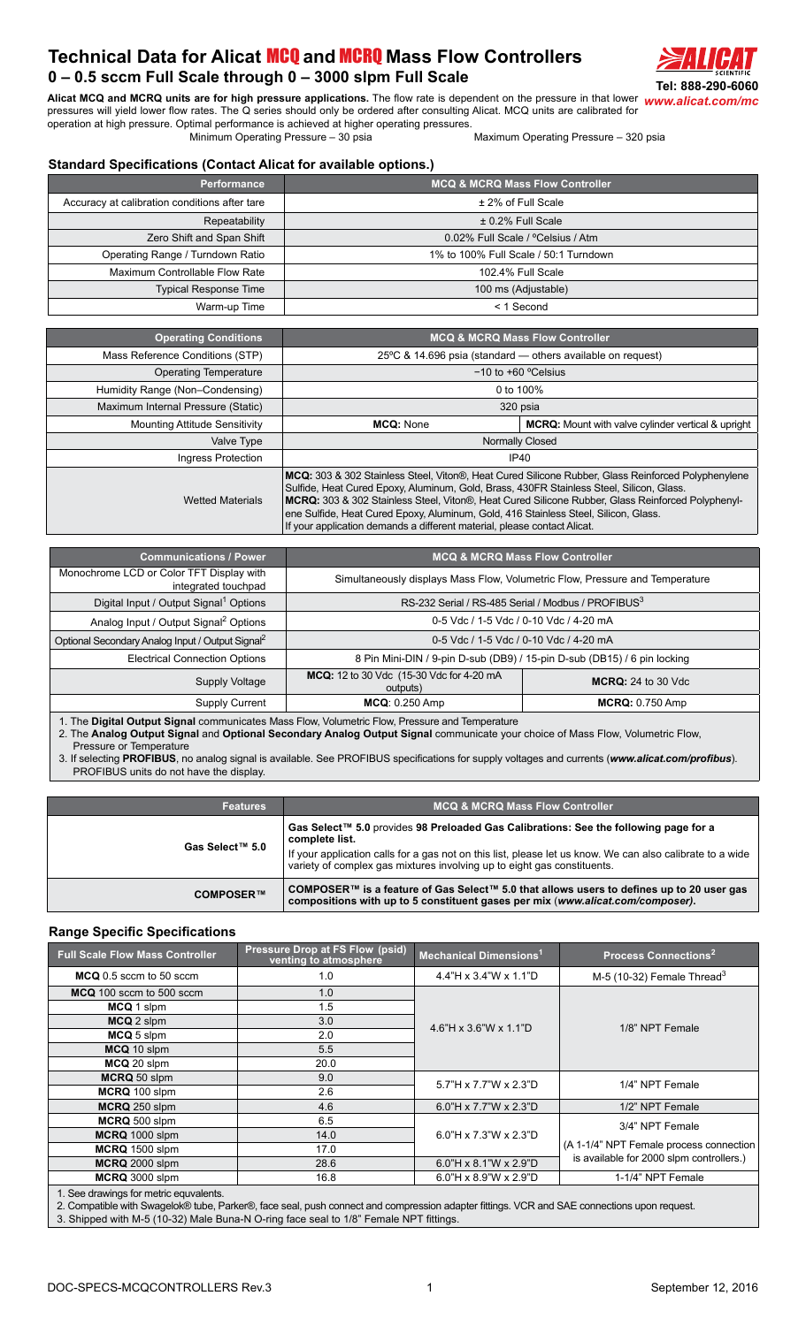## **Technical Data for Alicat** MCQ **and** MCRQ **[Mass Flow Controllers](http://www.alicat.com/products/mass-flow-meters-and-controllers/mass-flow-controllers/) 0 – 0.5 sccm Full Scale through 0 – 3000 slpm Full Scale**



Alicat MCQ and MCRQ units are for high pressure applications. The flow rate is dependent on the pressure in that lower [www.alicat.com/mc](http://www.alicat.com/products/mass-flow-meters-and-controllers/mass-flow-controllers/) pressures will yield lower flow rates. The Q series should only be ordered after consulting Alicat. MCQ units are calibrated for

operation at high pressure. Optimal performance is achieved at higher operating pressures. Maximum Operating Pressure – 320 psia

## **Standard Specifications (Contact Alicat for available options.)**

| <b>Performance</b>                            | <b>MCQ &amp; MCRQ Mass Flow Controller</b> |
|-----------------------------------------------|--------------------------------------------|
| Accuracy at calibration conditions after tare | ± 2% of Full Scale                         |
| Repeatability                                 | $\pm$ 0.2% Full Scale                      |
| Zero Shift and Span Shift                     | 0.02% Full Scale / °Celsius / Atm          |
| Operating Range / Turndown Ratio              | 1% to 100% Full Scale / 50:1 Turndown      |
| Maximum Controllable Flow Rate                | 102.4% Full Scale                          |
| <b>Typical Response Time</b>                  | 100 ms (Adjustable)                        |
| Warm-up Time                                  | $<$ 1 Second                               |

| <b>Operating Conditions</b>          | <b>MCQ &amp; MCRQ Mass Flow Controller</b>                                                                                                                                                                                                                                                                                                                                                                                                                             |                                                           |
|--------------------------------------|------------------------------------------------------------------------------------------------------------------------------------------------------------------------------------------------------------------------------------------------------------------------------------------------------------------------------------------------------------------------------------------------------------------------------------------------------------------------|-----------------------------------------------------------|
| Mass Reference Conditions (STP)      | 25 $\degree$ C & 14.696 psia (standard — others available on request)                                                                                                                                                                                                                                                                                                                                                                                                  |                                                           |
| <b>Operating Temperature</b>         |                                                                                                                                                                                                                                                                                                                                                                                                                                                                        | $-10$ to $+60$ °Celsius                                   |
| Humidity Range (Non-Condensing)      | 0 to 100%                                                                                                                                                                                                                                                                                                                                                                                                                                                              |                                                           |
| Maximum Internal Pressure (Static)   |                                                                                                                                                                                                                                                                                                                                                                                                                                                                        | 320 psia                                                  |
| <b>Mounting Attitude Sensitivity</b> | <b>MCQ: None</b>                                                                                                                                                                                                                                                                                                                                                                                                                                                       | <b>MCRQ:</b> Mount with valve cylinder vertical & upright |
| Valve Type                           | <b>Normally Closed</b>                                                                                                                                                                                                                                                                                                                                                                                                                                                 |                                                           |
| Ingress Protection                   |                                                                                                                                                                                                                                                                                                                                                                                                                                                                        | IP40                                                      |
| <b>Wetted Materials</b>              | MCQ: 303 & 302 Stainless Steel, Viton®, Heat Cured Silicone Rubber, Glass Reinforced Polyphenylene<br>Sulfide, Heat Cured Epoxy, Aluminum, Gold, Brass, 430FR Stainless Steel, Silicon, Glass.<br>MCRQ: 303 & 302 Stainless Steel, Viton®, Heat Cured Silicone Rubber, Glass Reinforced Polyphenyl-<br>ene Sulfide, Heat Cured Epoxy, Aluminum, Gold, 416 Stainless Steel, Silicon, Glass.<br>If your application demands a different material, please contact Alicat. |                                                           |

| <b>Communications / Power</b>                                   | <b>MCQ &amp; MCRQ Mass Flow Controller</b>                                   |                                                                          |  |
|-----------------------------------------------------------------|------------------------------------------------------------------------------|--------------------------------------------------------------------------|--|
| Monochrome LCD or Color TFT Display with<br>integrated touchpad | Simultaneously displays Mass Flow, Volumetric Flow, Pressure and Temperature |                                                                          |  |
| Digital Input / Output Signal <sup>1</sup> Options              | RS-232 Serial / RS-485 Serial / Modbus / PROFIBUS <sup>3</sup>               |                                                                          |  |
| Analog Input / Output Signal <sup>2</sup> Options               | 0-5 Vdc / 1-5 Vdc / 0-10 Vdc / 4-20 mA                                       |                                                                          |  |
| Optional Secondary Analog Input / Output Signal <sup>2</sup>    | 0-5 Vdc / 1-5 Vdc / 0-10 Vdc / 4-20 mA                                       |                                                                          |  |
| <b>Electrical Connection Options</b>                            |                                                                              | 8 Pin Mini-DIN / 9-pin D-sub (DB9) / 15-pin D-sub (DB15) / 6 pin locking |  |
| Supply Voltage                                                  | MCQ: 12 to 30 Vdc (15-30 Vdc for 4-20 mA<br>outputs)                         | <b>MCRQ:</b> 24 to 30 Vdc                                                |  |
| Supply Current                                                  | <b>MCQ: 0.250 Amp</b>                                                        | <b>MCRQ: 0.750 Amp</b>                                                   |  |

1. The **Digital Output Signal** communicates Mass Flow, Volumetric Flow, Pressure and Temperature

2. The **Analog Output Signal** and **Optional Secondary Analog Output Signal** communicate your choice of Mass Flow, Volumetric Flow, Pressure or Temperature

3. If selecting **PROFIBUS**, no analog signal is available. See PROFIBUS specifications for supply voltages and currents (*[www.alicat.com/profibus](http://www.alicat.com/profibus)*). PROFIBUS units do not have the display.

| <b>Features</b> | <b>MCQ &amp; MCRQ Mass Flow Controller</b>                                                                                                                                                                                                                                                     |
|-----------------|------------------------------------------------------------------------------------------------------------------------------------------------------------------------------------------------------------------------------------------------------------------------------------------------|
| Gas Select™ 5.0 | Gas Select™ 5.0 provides 98 Preloaded Gas Calibrations: See the following page for a<br>complete list.<br>If your application calls for a gas not on this list, please let us know. We can also calibrate to a wide<br>variety of complex gas mixtures involving up to eight gas constituents. |
| COMPOSER™       | COMPOSER™ is a feature of Gas Select™ 5.0 that allows users to defines up to 20 user gas<br>compositions with up to 5 constituent gases per mix (www.alicat.com/composer).                                                                                                                     |

## **Range Specific Specifications**

| <b>Full Scale Flow Mass Controller</b> | <b>Pressure Drop at FS Flow (psid)</b><br>Mechanical Dimensions <sup>1</sup><br>venting to atmosphere |                                | <b>Process Connections<sup>2</sup></b>   |  |
|----------------------------------------|-------------------------------------------------------------------------------------------------------|--------------------------------|------------------------------------------|--|
| MCQ 0.5 sccm to 50 sccm                | 1.0                                                                                                   | $4.4$ "H x 3.4"W x 1.1"D       | M-5 (10-32) Female Thread <sup>3</sup>   |  |
| MCQ 100 sccm to 500 sccm               | 1.0                                                                                                   |                                |                                          |  |
| MCQ 1 slpm                             | 1.5                                                                                                   |                                |                                          |  |
| MCQ 2 slpm                             | 3.0                                                                                                   | 4.6"H x 3.6"W x 1.1"D          | 1/8" NPT Female                          |  |
| MCQ 5 slpm                             | 2.0                                                                                                   |                                |                                          |  |
| MCQ 10 slpm                            | 5.5                                                                                                   |                                |                                          |  |
| MCQ 20 slpm                            | 20.0                                                                                                  |                                |                                          |  |
| MCRQ 50 slpm                           | 9.0                                                                                                   | 5.7"H x 7.7"W x 2.3"D          | 1/4" NPT Female                          |  |
| MCRQ 100 slpm                          | 2.6                                                                                                   |                                |                                          |  |
| MCRQ 250 slpm                          | 4.6                                                                                                   | 6.0"H x 7.7"W x 2.3"D          | 1/2" NPT Female                          |  |
| 6.5<br>MCRQ 500 slpm                   |                                                                                                       |                                | 3/4" NPT Female                          |  |
| MCRQ 1000 slpm                         | 14.0                                                                                                  | $6.0"$ H x 7.3"W x 2.3"D       |                                          |  |
| MCRQ 1500 slpm                         | 17.0                                                                                                  |                                | (A 1-1/4" NPT Female process connection  |  |
| MCRQ 2000 slpm                         | 28.6                                                                                                  | 6.0"H x 8.1"W x 2.9"D          | is available for 2000 slpm controllers.) |  |
| MCRQ 3000 slpm                         | 16.8                                                                                                  | $6.0$ "H x $8.9$ "W x $2.9$ "D | 1-1/4" NPT Female                        |  |
| See drawings for metric equivalents    |                                                                                                       |                                |                                          |  |

1. See drawings for metric equvalents.

2. Compatible with Swagelok® tube, Parker®, face seal, push connect and compression adapter fittings. VCR and SAE connections upon request.

3. Shipped with M-5 (10-32) Male Buna-N O-ring face seal to 1/8" Female NPT fittings.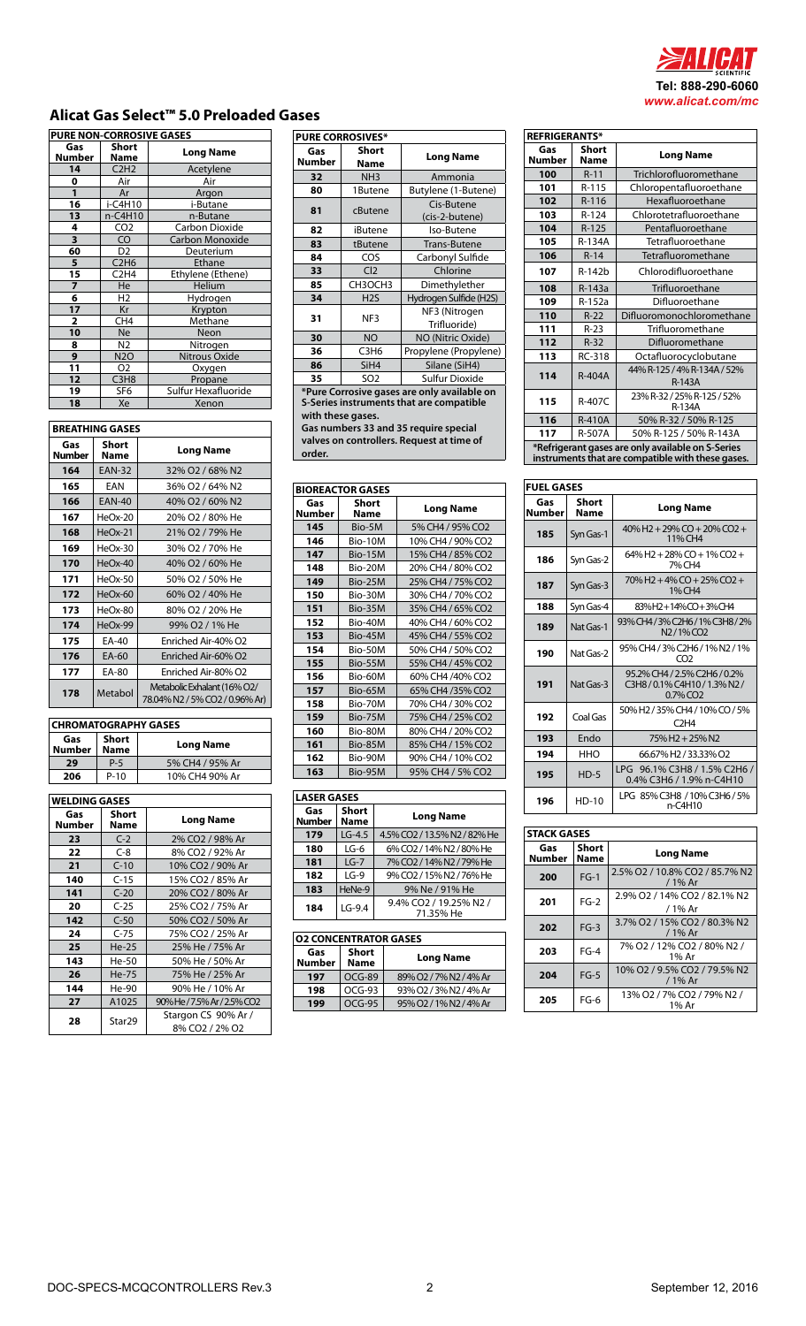

## **Alicat Gas Select™ 5.0 Preloaded Gases**

| <b>PURE NON-CORROSIVE GASES</b> |                               |                     |
|---------------------------------|-------------------------------|---------------------|
| Gas<br>Number                   | <b>Short</b><br>Name          | Long Name           |
| 14                              | C2H2                          | Acetylene           |
| 0                               | Air                           | Air                 |
| 1                               | Ar                            | Argon               |
| 16                              | i-C4H10                       | i-Butane            |
| 13                              | n-C4H10                       | n-Butane            |
| 4                               | CO <sub>2</sub>               | Carbon Dioxide      |
| 3                               | CO                            | Carbon Monoxide     |
| 60                              | D <sub>2</sub>                | Deuterium           |
| 5                               | C2H6                          | Ethane              |
| 15                              | C <sub>2</sub> H <sub>4</sub> | Ethylene (Ethene)   |
| $\overline{ }$                  | He                            | Helium              |
| 6                               | H <sub>2</sub>                | Hydrogen            |
| 17                              | Kr                            | Krypton             |
| 2                               | CH <sub>4</sub>               | Methane             |
| 10                              | <b>Ne</b>                     | Neon                |
| 8                               | N2                            | Nitrogen            |
| 9                               | <b>N2O</b>                    | Nitrous Oxide       |
| 11                              | Ο2                            | Oxygen              |
| 12                              | C <sub>3</sub> H <sub>8</sub> | Propane             |
| 19                              | SF6                           | Sulfur Hexafluoride |
| 18                              | Xe                            | Xenon               |

| <b>BREATHING GASES</b> |               |                                                               |
|------------------------|---------------|---------------------------------------------------------------|
| Gas<br><b>Number</b>   | Short<br>Name | <b>Long Name</b>                                              |
| 164                    | <b>EAN-32</b> | 32% O2 / 68% N2                                               |
| 165                    | EAN           | 36% O2 / 64% N2                                               |
| 166                    | <b>EAN-40</b> | 40% O2 / 60% N2                                               |
| 167                    | HeOx-20       | 20% O2 / 80% He                                               |
| 168                    | $HeOx-21$     | 21% O2 / 79% He                                               |
| 169                    | HeOx-30       | 30% O2 / 70% He                                               |
| 170                    | $HeOx-40$     | 40% O2 / 60% He                                               |
| 171                    | HeOx-50       | 50% O2 / 50% He                                               |
| 172                    | HeOx-60       | 60% O2 / 40% He                                               |
| 173                    | HeOx-80       | 80% O2 / 20% He                                               |
| 174                    | $HeOx-99$     | 99% O2 / 1% He                                                |
| 175                    | FA-40         | Enriched Air-40% O2                                           |
| 176                    | EA-60         | Enriched Air-60% O2                                           |
| 177                    | EA-80         | Enriched Air-80% O2                                           |
| 178                    | Metabol       | Metabolic Exhalant (16% O2/<br>78.04% N2 / 5% CO2 / 0.96% Ar) |

| <b>CHROMATOGRAPHY GASES</b> |                             |                  |
|-----------------------------|-----------------------------|------------------|
| Gas<br><b>Number</b>        | <b>Short</b><br><b>Name</b> | <b>Long Name</b> |
| 29                          | P-5                         | 5% CH4 / 95% Ar  |
| 206                         | $P-10$                      | 10% CH4 90% Ar   |

| WELDING GASES |                    |                                       |
|---------------|--------------------|---------------------------------------|
| Gas<br>Number | Short<br>Name      | Long Name                             |
| 23            | $C-2$              | 2% CO2 / 98% Ar                       |
| 22            | $C-8$              | 8% CO2 / 92% Ar                       |
| 21            | $C-10$             | 10% CO2 / 90% Ar                      |
| 140           | $C-15$             | 15% CO2 / 85% Ar                      |
| 141           | $C-20$             | 20% CO2 / 80% Ar                      |
| 20            | $C-25$             | 25% CO2 / 75% Ar                      |
| 142           | $C-50$             | 50% CO2 / 50% Ar                      |
| 24            | $C-75$             | 75% CO2 / 25% Ar                      |
| 25            | $He-25$            | 25% He / 75% Ar                       |
| 143           | He-50              | 50% He / 50% Ar                       |
| 26            | He-75              | 75% He / 25% Ar                       |
| 144           | He-90              | 90% He / 10% Ar                       |
| 27            | A1025              | 90% He / 7.5% Ar / 2.5% CO2           |
| 28            | Star <sub>29</sub> | Stargon CS 90% Ar /<br>8% CO2 / 2% O2 |

| <b>PURE CORROSIVES*</b>                     |                               |                               |  |  |
|---------------------------------------------|-------------------------------|-------------------------------|--|--|
| Gas<br><b>Number</b>                        | <b>Short</b><br><b>Name</b>   | <b>Long Name</b>              |  |  |
| 32                                          | NH <sub>3</sub>               | Ammonia                       |  |  |
| 80                                          | 1Butene                       | Butylene (1-Butene)           |  |  |
| 81                                          | cButene                       | Cis-Butene<br>(cis-2-butene)  |  |  |
| 82                                          | iButene                       | Iso-Butene                    |  |  |
| 83                                          | tButene                       | Trans-Butene                  |  |  |
| 84                                          | COS                           | Carbonyl Sulfide              |  |  |
| 33                                          | Cl <sub>2</sub>               | Chlorine                      |  |  |
| 85                                          | CH3OCH3                       | Dimethylether                 |  |  |
| 34                                          | H <sub>2</sub> S              | Hydrogen Sulfide (H2S)        |  |  |
| 31                                          | NF3                           | NF3 (Nitrogen<br>Trifluoride) |  |  |
| 30                                          | <b>NO</b>                     | NO (Nitric Oxide)             |  |  |
| 36                                          | C <sub>3</sub> H <sub>6</sub> | Propylene (Propylene)         |  |  |
| 86                                          | SiH4                          | Silane (SiH4)                 |  |  |
| 35                                          | SO <sub>2</sub>               | Sulfur Dioxide                |  |  |
| *Pure Corrosive gases are only available on |                               |                               |  |  |

**S-Series instruments that are compatible with these gases.**

**Gas numbers 33 and 35 require special valves on controllers. Request at time of order.**

| <b>BIOREACTOR GASES</b> |                      |                   |
|-------------------------|----------------------|-------------------|
| Gas<br><b>Number</b>    | <b>Short</b><br>Name | <b>Long Name</b>  |
| 145                     | Bio-5M               | 5% CH4 / 95% CO2  |
| 146                     | Bio-10M              | 10% CH4 / 90% CO2 |
| 147                     | <b>Bio-15M</b>       | 15% CH4 / 85% CO2 |
| 148                     | Bio-20M              | 20% CH4 / 80% CO2 |
| 149                     | Bio-25M              | 25% CH4 / 75% CO2 |
| 150                     | Bio-30M              | 30% CH4 / 70% CO2 |
| 151                     | Bio-35M              | 35% CH4 / 65% CO2 |
| 152                     | Bio-40M              | 40% CH4 / 60% CO2 |
| 153                     | <b>Bio-45M</b>       | 45% CH4 / 55% CO2 |
| 154                     | Bio-50M              | 50% CH4 / 50% CO2 |
| 155                     | Bio-55M              | 55% CH4 / 45% CO2 |
| 156                     | Bio-60M              | 60% CH4 /40% CO2  |
| 157                     | Bio-65M              | 65% CH4 /35% CO2  |
| 158                     | Bio-70M              | 70% CH4 / 30% CO2 |
| 159                     | <b>Bio-75M</b>       | 75% CH4 / 25% CO2 |
| 160                     | Bio-80M              | 80% CH4 / 20% CO2 |
| 161                     | Bio-85M              | 85% CH4 / 15% CO2 |
| 162                     | Bio-90M              | 90% CH4 / 10% CO2 |
| 163                     | Bio-95M              | 95% CH4 / 5% CO2  |

| <b>LASER GASES</b>   |                              |                                     |  |
|----------------------|------------------------------|-------------------------------------|--|
| Gas<br><b>Number</b> | Short<br>Name                | <b>Long Name</b>                    |  |
| 179                  | $LG-4.5$                     | 4.5% CO2 / 13.5% N2 / 82% He        |  |
| 180                  | LG-6                         | 6% CO2 / 14% N2 / 80% He            |  |
| 181                  | $LG-7$                       | 7% CO2 / 14% N2 / 79% He            |  |
| 182                  | LG-9                         | 9% CO2 / 15% N2 / 76% He            |  |
| 183                  | HeNe-9                       | 9% Ne / 91% He                      |  |
| 184                  | $LG-9.4$                     | 9.4% CO2 / 19.25% N2 /<br>71.35% He |  |
|                      |                              |                                     |  |
|                      | <b>O2 CONCENTRATOR GASES</b> |                                     |  |
| Gas<br><b>Number</b> | Short<br>Name                | Long Name                           |  |
| 197                  | $OCG-89$                     | 89% O2/7% N2/4% Ar                  |  |
| 198                  | $OCG-93$                     | 93% O2 / 3% N2 / 4% Ar              |  |
| 199                  | $OCG-95$                     | 95% O2 / 1% N2 / 4% Ar              |  |

| <b>REFRIGERANTS*</b>                              |                      |                                              |  |
|---------------------------------------------------|----------------------|----------------------------------------------|--|
| Gas<br>Number                                     | <b>Short</b><br>Name | <b>Long Name</b>                             |  |
| 100                                               | $R-11$               | Trichlorofluoromethane                       |  |
| 101                                               | R-115                | Chloropentafluoroethane                      |  |
| 102                                               | $R-116$              | Hexafluoroethane                             |  |
| 103                                               | R-124                | Chlorotetrafluoroethane                      |  |
| 104                                               | $R-125$              | Pentafluoroethane                            |  |
| 105                                               | R-134A               | Tetrafluoroethane                            |  |
| 106                                               | $R-14$               | Tetrafluoromethane                           |  |
| 107                                               | R-142b               | Chlorodifluoroethane                         |  |
| 108                                               | R-143a               | Trifluoroethane                              |  |
| 109                                               | R-152a               | Difluoroethane                               |  |
| 110                                               | $R-22$               | Difluoromonochloromethane                    |  |
| 111                                               | R-23                 | Trifluoromethane                             |  |
| 112                                               | $R-32$               | Difluoromethane                              |  |
| 113                                               | RC-318               | Octafluorocyclobutane                        |  |
| 114                                               | <b>R-404A</b>        | 44% R-125 / 4% R-134A / 52%<br><b>R-143A</b> |  |
| 115                                               | R-407C               | 23% R-32 / 25% R-125 / 52%<br>R-134A         |  |
| 116                                               | <b>R-410A</b>        | 50% R-32 / 50% R-125                         |  |
| 117                                               | R-507A               | 50% R-125 / 50% R-143A                       |  |
| *Refrigerant gases are only available on S-Series |                      |                                              |  |

**instruments that are compatible with these gases.**

| <b>FUEL GASES</b>    |                             |                                                                                              |  |
|----------------------|-----------------------------|----------------------------------------------------------------------------------------------|--|
| Gas<br><b>Number</b> | <b>Short</b><br><b>Name</b> | <b>Long Name</b>                                                                             |  |
| 185                  | Syn Gas-1                   | $40\%$ H2 + 29% CO + 20% CO2 +<br>11% CH4                                                    |  |
| 186                  | Syn Gas-2                   | $64\%$ H2 + 28% CO + 1% CO2 +<br>7% CH4                                                      |  |
| 187                  | Syn Gas-3                   | $70\%$ H <sub>2</sub> + $4\%$ C <sub>O</sub> + $25\%$ C <sub>O<sub>2</sub> +</sub><br>1% CH4 |  |
| 188                  | Syn Gas-4                   | 83%H2+14%CO+3%CH4                                                                            |  |
| 189                  | Nat Gas-1                   | 93% CH4/3% C2H6/1% C3H8/2%<br>N <sub>2</sub> /1%CO <sub>2</sub>                              |  |
| 190                  | Nat Gas-2                   | 95% CH4 / 3% C2H6 / 1% N2 / 1%<br>CO <sub>2</sub>                                            |  |
| 191                  | Nat Gas-3                   | 95.2% CH4 / 2.5% C2H6 / 0.2%<br>C3H8/0.1%C4H10/1.3%N2/<br>$0.7\%$ CO <sub>2</sub>            |  |
| 192                  | Coal Gas                    | 50% H2 / 35% CH4 / 10% CO / 5%<br>C <sub>2</sub> H <sub>4</sub>                              |  |
| 193                  | <b>Fndo</b>                 | 75% H <sub>2</sub> + 25% N <sub>2</sub>                                                      |  |
| 194                  | HHO                         | 66.67% H2 / 33.33% O2                                                                        |  |
| 195                  | $HD-5$                      | LPG 96.1% C3H8 / 1.5% C2H6 /<br>0.4% C3H6 / 1.9% n-C4H10                                     |  |
| 196                  | HD-10                       | LPG 85% C3H8 / 10% C3H6 / 5%<br>n-C4H10                                                      |  |

| <b>STACK GASES</b> |                      |                                             |  |  |
|--------------------|----------------------|---------------------------------------------|--|--|
| Gas<br>Number      | <b>Short</b><br>Name | <b>Long Name</b>                            |  |  |
| 200                | $FG-1$               | 2.5% O2 / 10.8% CO2 / 85.7% N2<br>$/1\%$ Ar |  |  |
| 201                | $FG-2$               | 2.9% O2 / 14% CO2 / 82.1% N2<br>/ 1% Ar     |  |  |
| 202                | $FG-3$               | 3.7% O2 / 15% CO2 / 80.3% N2<br>$/1\%$ Ar   |  |  |
| 203                | $FG-4$               | 7% O2 / 12% CO2 / 80% N2 /<br>1% Ar         |  |  |
| 204                | $FG-5$               | 10% O2 / 9.5% CO2 / 79.5% N2<br>$/1\%$ Ar   |  |  |
| 205                | $FG-6$               | 13% O2 / 7% CO2 / 79% N2 /<br>1% Ar         |  |  |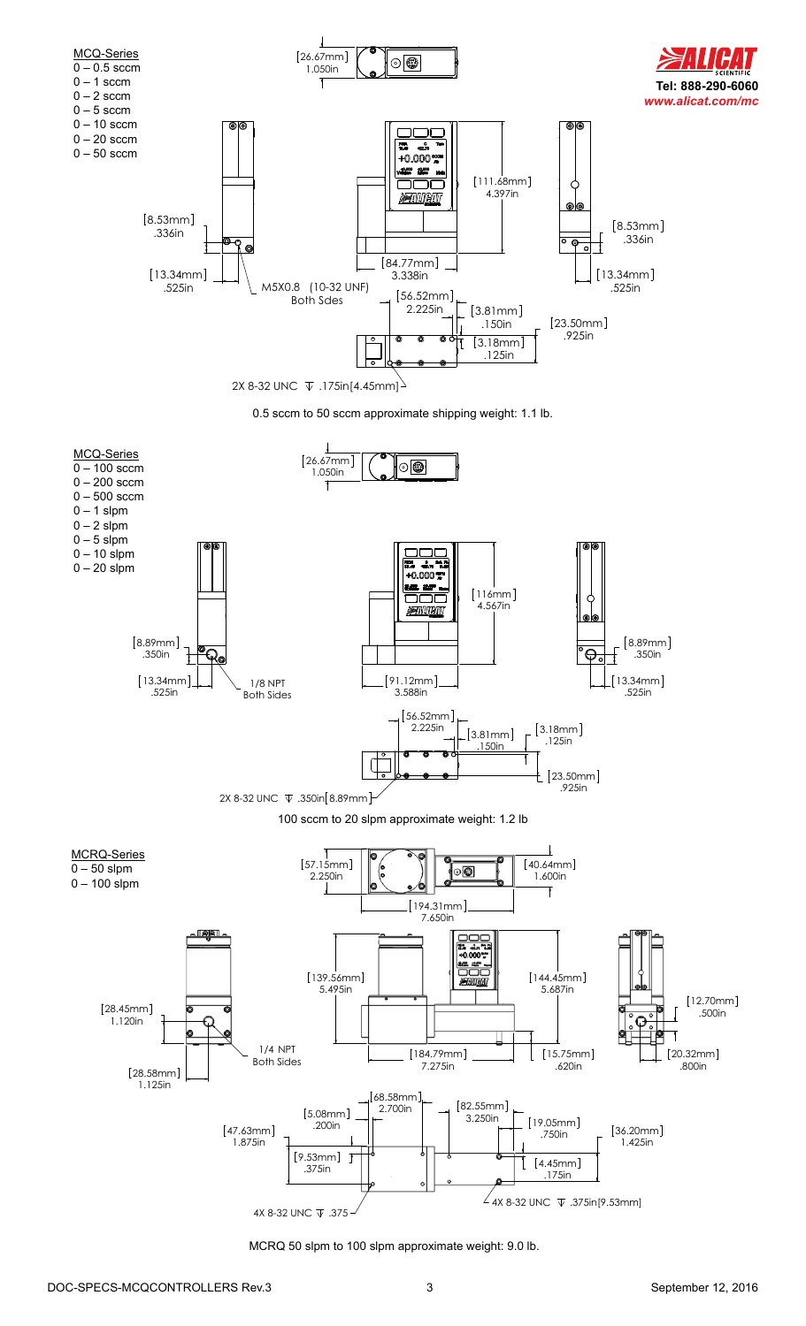



100 sccm to 20 slpm approximate weight: 1.2 lb



MCRQ 50 slpm to 100 slpm approximate weight: 9.0 lb.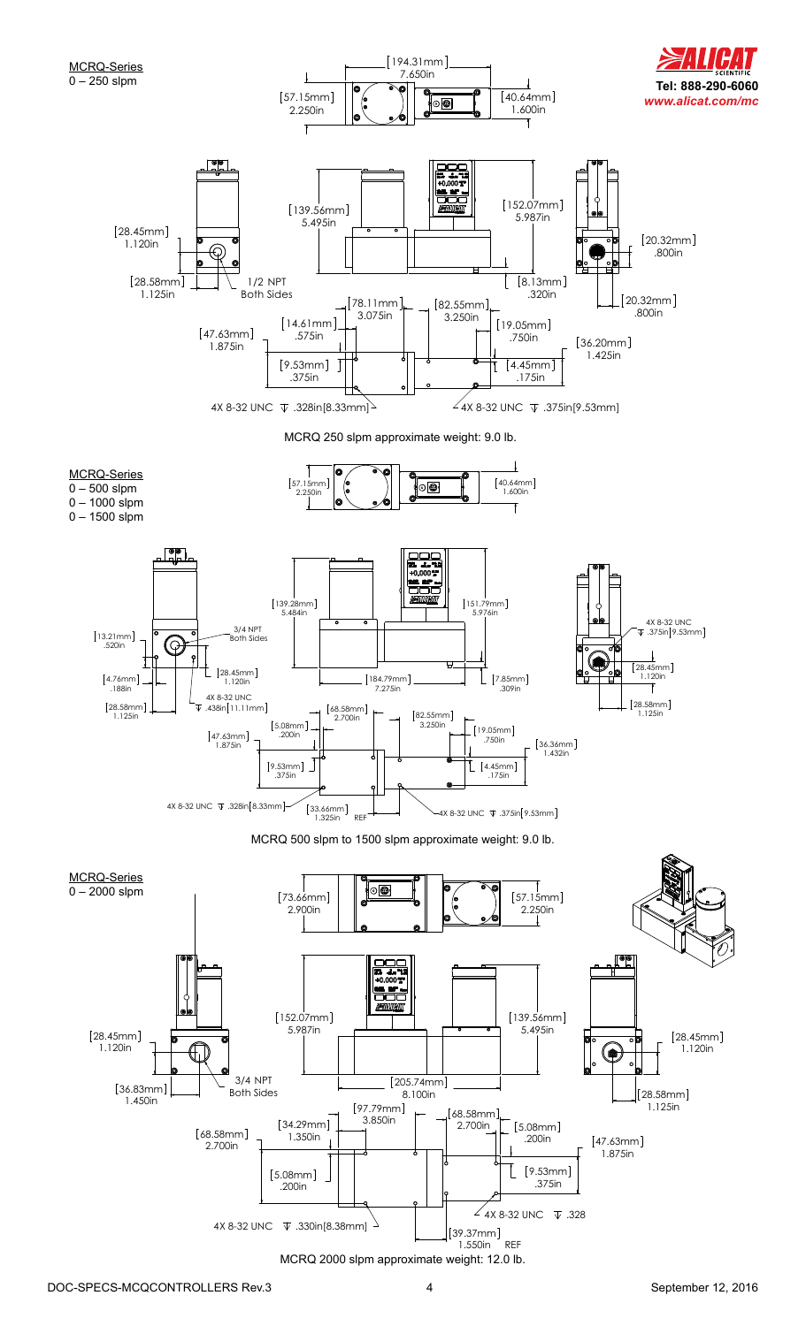